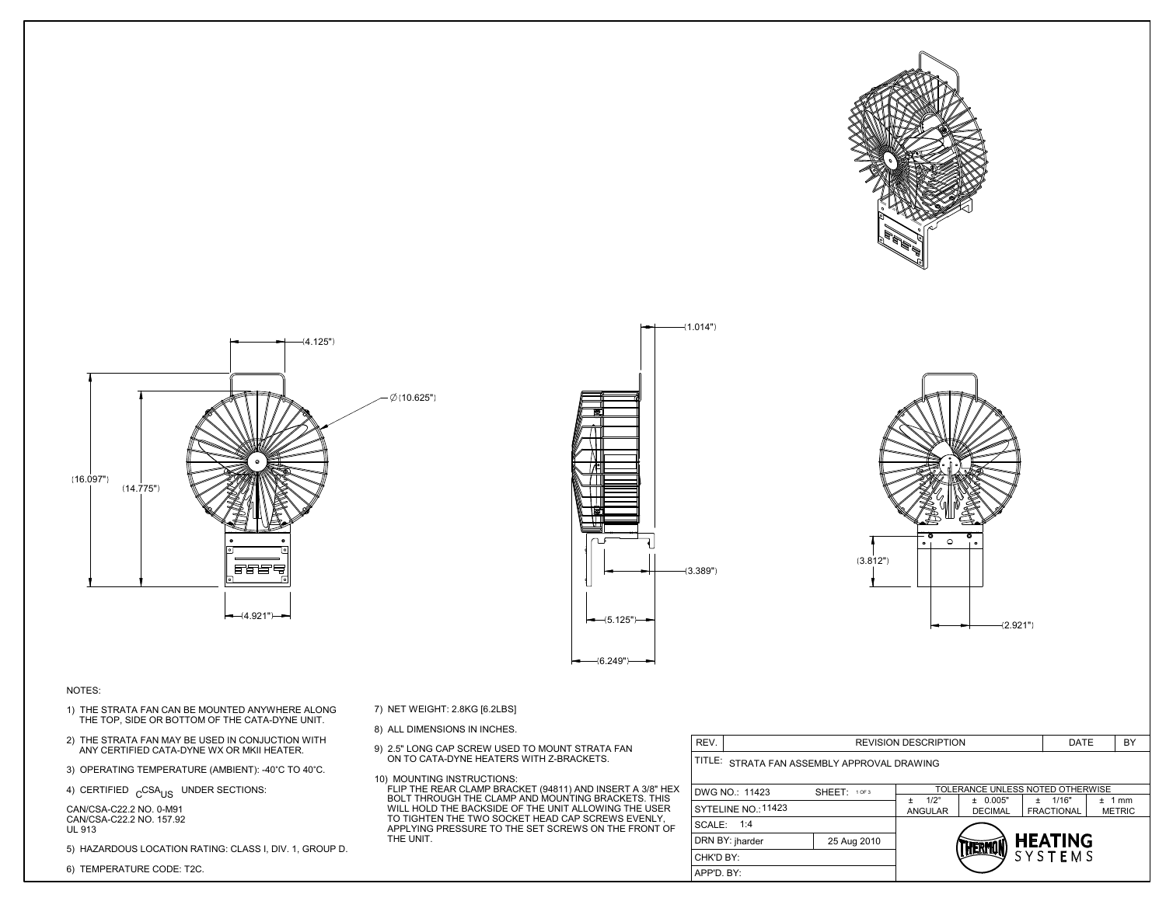| ۲EX<br>${\mathsf S}$ | DWG NO.: 11423      | SHEET:<br>1 OF 3 |                | TOLERANCE UNLESS NOTED OTHERWISE |                   |               |  |
|----------------------|---------------------|------------------|----------------|----------------------------------|-------------------|---------------|--|
|                      |                     |                  | $1/2^\circ$    | ± 0.005"                         | 1/16"             | ± 1 mm        |  |
| R.                   | SYTELINE NO.: 11423 |                  | <b>ANGULAR</b> | <b>DECIMAL</b>                   | <b>FRACTIONAL</b> | <b>METRIC</b> |  |
| .<br>OF              | SCALE: 1:4          |                  |                |                                  |                   |               |  |
|                      | DRN BY: jharder     | 25 Aug 2010      | <b>HEATING</b> |                                  |                   |               |  |
|                      | CHK'D BY:           |                  | SYSTEMS        |                                  |                   |               |  |
|                      | APP'D. BY:          |                  |                |                                  |                   |               |  |

- 1) THE STRATA FAN CAN BE MOUNTED ANYWHERE ALONG THE TOP, SIDE OR BOTTOM OF THE CATA-DYNE UNIT.
- 2) THE STRATA FAN MAY BE USED IN CONJUCTION WITH ANY CERTIFIED CATA-DYNE WX OR MKII HEATER.
- 3) OPERATING TEMPERATURE (AMBIENT): -40°C TO 40°C.
- 4) CERTIFIED CCSA<sub>US</sub> UNDER SECTIONS:

## NOTES:

10) MOUNTING INSTRUCTIONS: FLIP THE REAR CLAMP BRACKET (94811) AND INSERT A 3/8" H

CUSAUS UNDER SECTIONS. THE THE REAR OLAMIT BRACKET (SHOTT) AND INSERT A 3/0 TIEX DWG NO.: 11423 SHEET: 10F3 WILL HOLD THE BACKSIDE OF THE UNIT ALLOWING THE USER TO TIGHTEN THE TWO SOCKET HEAD CAP SCREWS EVENLY, APPLYING PRESSURE TO THE SET SCREWS ON THE FRONT THE UNIT.

CAN/CSA-C22.2 NO. 0-M91 CAN/CSA-C22.2 NO. 157.92 UL 913

- 5) HAZARDOUS LOCATION RATING: CLASS I, DIV. 1, GROUP D.
- 6) TEMPERATURE CODE: T2C.



- 7) NET WEIGHT: 2.8KG [6.2LBS]
- 8) ALL DIMENSIONS IN INCHES.
- 9) 2.5" LONG CAP SCREW USED TO MOUNT STRATA FAN ON TO CATA-DYNE HEATERS WITH Z-BRACKETS.



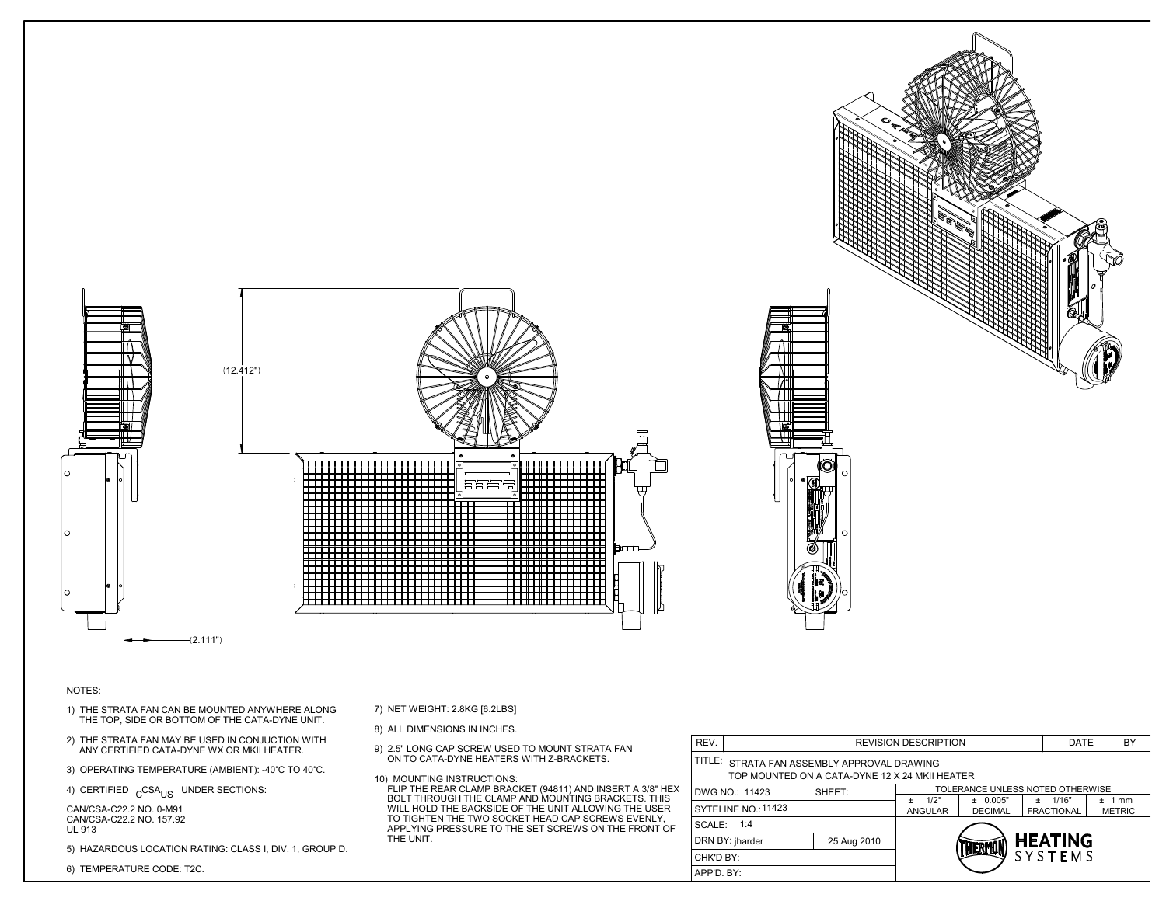APP'D. BY:



- 1) THE STRATA FAN CAN BE MOUNTED ANYWHERE ALONG THE TOP, SIDE OR BOTTOM OF THE CATA-DYNE UNIT.
- 2) THE STRATA FAN MAY BE USED IN CONJUCTION WITH ANY CERTIFIED CATA-DYNE WX OR MKII HEATER.
- 3) OPERATING TEMPERATURE (AMBIENT): -40°C TO 40°C.
- 4) CERTIFIED  $\,{\rm c}^{\rm CSA}$ US UNDER SECTIONS:

## NOTES:

CAN/CSA-C22.2 NO. 0-M91 CAN/CSA-C22.2 NO. 157.92 UL 913

- 5) HAZARDOUS LOCATION RATING: CLASS I, DIV. 1, GROUP D.
- 6) TEMPERATURE CODE: T2C.
- 7) NET WEIGHT: 2.8KG [6.2LBS]
- 8) ALL DIMENSIONS IN INCHES.
- 9) 2.5" LONG CAP SCREW USED TO MOUNT STRATA FAN ON TO CATA-DYNE HEATERS WITH Z-BRACKETS.

10) MOUNTING INSTRUCTIONS: FLIP THE REAR CLAMP BRACKET (94811) AND INSERT A 3/8" HEX BOLT THROUGH THE CLAMP AND MOUNTING BRACKETS. THIS WILL HOLD THE BACKSIDE OF THE UNIT ALLOWING THE USER TO TIGHTEN THE TWO SOCKET HEAD CAP SCREWS EVENLY, APPLYING PRESSURE TO THE SET SCREWS ON THE FRONT OF THE UNIT.